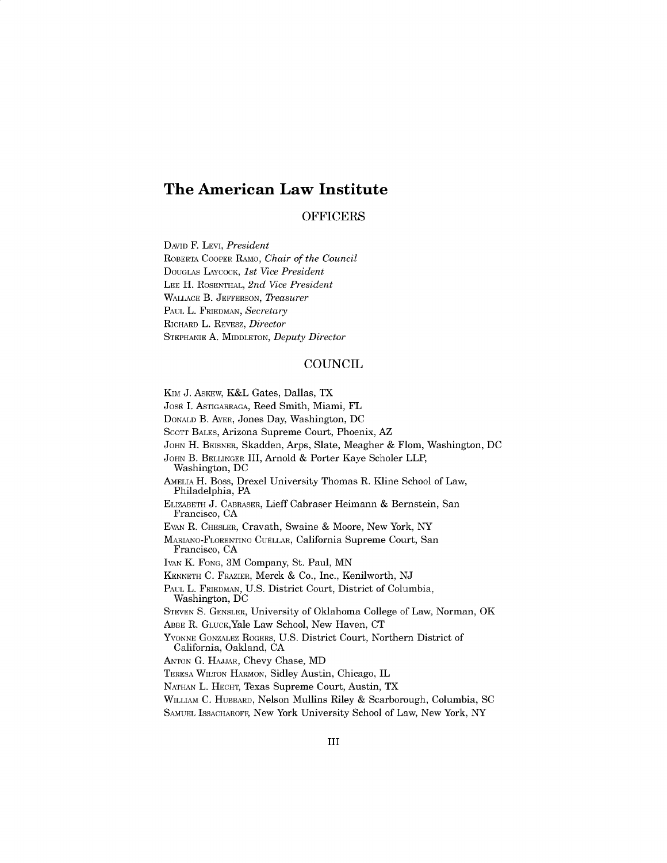# **The American Law Institute**

#### OFFICERS

DAVID F. *LEVI, President* ROBERTA COOPER RAMO, *Chair of the Council* DOUGLAS LAYCOCK, *1st Vice President* **LEE** H. ROSENTHAL, *2nd Vice President* **WALLACE** B. **JEFFERSON,** *Theasurer* **PAUL** L. FRIEDMAN, *Secretary* RICHARD L. REVESZ, *Director* STEPHANIE **A.** MIDDLETON, *Deputy Director*

### **COUNCIL**

Kim **J.** ASKEw, K&L Gates, Dallas, TX JOSE I. ASTIGARRAGA, Reed Smith, Miami, FL **DONALD** B. AYER, Jones Day, Washington, **DC SCOTT BALES,** Arizona Supreme Court, Phoenix, AZ **JOHN** H. BEISNER, Skadden, Arps, Slate, Meagher **&** Flom, Washington, **DC JOHN** B. BELLINGER III, Arnold **&** Porter Kaye Scholer LLP, Washington, **DC** AMELIA H. Boss, Drexel University Thomas R. Kline School of Law, Philadelphia, PA ELIZABETH **J.** CABRASER, Lieff Cabraser Heimann **&** Bernstein, San Francisco, **CA EVAN** R. CHESLER, Cravath, Swaine **&** Moore, New York, NY MARIANO-FLORENTINO **CUELLAR,** California Supreme Court, San Francisco, **CA** IVAN K. **FONG,** 3M Company, St. Paul, **MN KENNETH C.** FRAZIER, Merck **&** Co., Inc., Kenilworth, **NJ PAUL** L. FRIEDMAN, **U.S.** District Court, District of Columbia, Washington, **DC STEVEN S. GENSLER,** University of Oklahoma College of Law, Norman, OK ABBE R. GLUCK,Yale Law School, New Haven, **CT YVONNE** GONZALEZ ROGERS, **U.S.** District Court, Northern District of California, Oakland, **CA ANTON G. HAJJAR,** Chevy Chase, MD TERESA WILTON HARMON, Sidley Austin, Chicago, IL **NATHAN** L. **HECHT,** Texas Supreme Court, Austin, TX WILLIAM **C.** HUBBARD, Nelson Mullins Riley **&** Scarborough, Columbia, **SC SAMUEL** ISSACHAROFF, New York University School of Law, New York, NY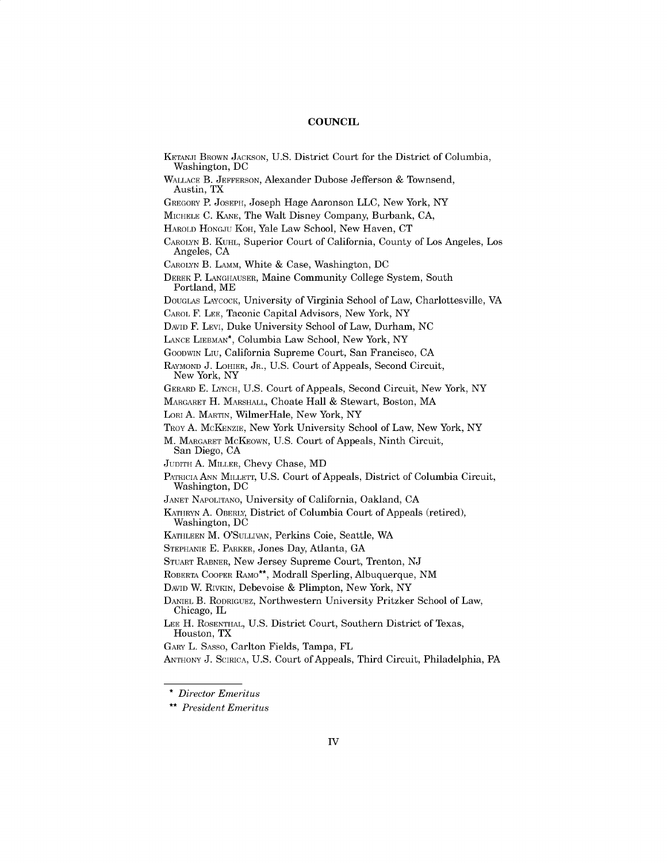#### **COUNCIL**

KETANJI BROWN **JACKSON, U.S.** District Court for the District of Columbia, Washington, **DC WALLACE** B. **JEFFERSON,** Alexander Dubose Jefferson **&** Townsend, Austin, TX GREGORY P. **JOSEPH,** Joseph Hage Aaronson **LLC,** New York, NY MICHELE **C. KANE,** The Walt Disney Company, Burbank, **CA,** HAROLD HONGJU KOH, Yale Law School, New Haven, **CT** CAROLYN B. **KUHL,** Superior Court of California, County of Los Angeles, Los Angeles, **CA** CAROLYN B. LAMM, White **&** Case, Washington, **DC** DEREK **P. LANGHAUSER,** Maine Community College System, South Portland, ME DOUGLAS LAYCOCK, University of Virginia School of Law, Charlottesville, VA CAROL F. **LEE,** Taconic Capital Advisors, New York, NY DAVID F. LEVI, Duke University School of Law, Durham, **NC LANCE** LIEBMAN\*, Columbia Law School, New York, NY GOODWIN Liu, California Supreme Court, San Francisco, **CA** RAYMOND **J.** LOHIER, JR., **U.S.** Court of Appeals, Second Circuit, New York, NY GERARD **E. LYNCH, U.S.** Court of Appeals, Second Circuit, New York, NY MARGARET H. MARSHALL, Choate Hall **&** Stewart, Boston, MA LORI **A.** MARTIN, WilmerHale, New York, NY TROY **A.** MCKENZIE, New York University School of Law, New York, NY M. MARGARET MCKEOWN, **U.S.** Court of Appeals, Ninth Circuit, San Diego, **CA** JUDITH **A.** MILLER, Chevy Chase, MD PATRICIA **ANN** MILLETT, **U.S.** Court of Appeals, District of Columbia Circuit, Washington, **DC JANET** NAPOLITANO, University of California, Oakland, **CA** KATHRYN **A.** OBERLY, District of Columbia Court of Appeals (retired), Washington, **DC KATHLEEN** M. O'SULLIVAN, Perkins Coie, Seattle, WA STEPHANIE **E.** PARKER, Jones Day, Atlanta, **GA** STUART RABNER, New Jersey Supreme Court, Trenton, **NJ** ROBERTA COOPER RAMo\*\*, Modrall Sperling, Albuquerque, **NM** DAVID W. RIVKIN, Debevoise **&** Plimpton, New York, NY DANIEL B. RODRIGUEZ, Northwestern University Pritzker School of Law, Chicago, IL **LEE** H. ROSENTHAL, **U.S.** District Court, Southern District of Texas, Houston, TX GARY L. **SASSO,** Carlton Fields, Tampa, FL **ANTHONY J.** SCIRICA, **U.S.** Court of Appeals, Third Circuit, Philadelphia, PA

<sup>\*</sup> *Director Emeritus*

<sup>\*\*</sup> *President Emeritus*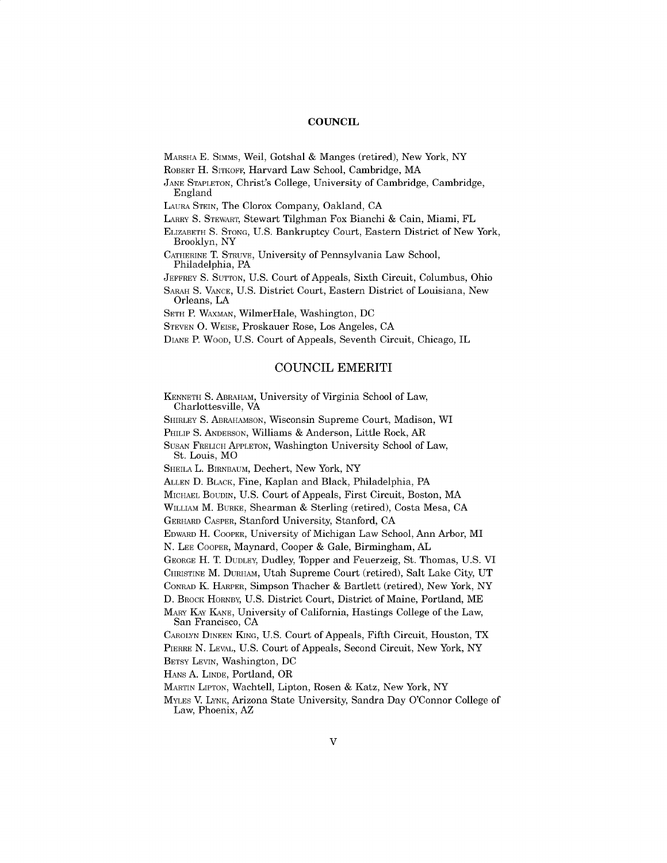#### **COUNCIL**

MARSHA **E.** Simms, Weil, Gotshal **&** Manges (retired), New York, NY

ROBERT H. SITKOFF, Harvard Law School, Cambridge, MA

**JANE STAPLETON,** Christ's College, University of Cambridge, Cambridge, England

LAURA STEIN, The Clorox Company, Oakland, **CA**

LARRY **S.** STEWART, Stewart Tilghman Fox Bianchi **&** Cain, Miami, FL

ELIZABETH **S. STONG, U.S.** Bankruptcy Court, Eastern District of New York, Brooklyn, NY

CATHERINE **T. STRUVE,** University of Pennsylvania Law School, Philadelphia, PA

JEFFREY **S. SUTTON, U.S.** Court of Appeals, Sixth Circuit, Columbus, Ohio

SARAH **S. VANCE, U.S.** District Court, Eastern District of Louisiana, New Orleans, **LA**

**SETH** P. WAxMAN, WilmerHale, Washington, **DC**

**STEVEN 0.** WEISE, Proskauer Rose, Los Angeles, **CA**

DIANE P. WOOD, **U.S.** Court of Appeals, Seventh Circuit, Chicago, IL

### **COUNCIL** EMERITI

**KENNETH S.** ABRAHAM, University of Virginia School of Law, Charlottesville, VA

SHIRLEY **S.** ABRAHAMSON, Wisconsin Supreme Court, Madison, WI

PHILIP **S. ANDERSON,** Williams **&** Anderson, Little Rock, AR

**SUSAN** FRELICH **APPLETON,** Washington University School of Law, St. Louis, MO

SHEILA L. BIRNBAUM, Dechert, New York, NY

**ALLEN D.** BLACK, Fine, Kaplan and Black, Philadelphia, PA

MICHAEL BOUDIN, **U.S.** Court of Appeals, First Circuit, Boston, MA

WILLIAM M. BURKE, Shearman **&** Sterling (retired), Costa Mesa, **CA**

GERHARD CASPER, Stanford University, Stanford, **CA**

EDWARD H. COOPER, University of Michigan Law School, Ann Arbor, MI

**N. LEE** COOPER, Maynard, Cooper **& Gale, Birmingham, AL**

**GEORGE H. T. DUDLEY,** Dudley, Topper and Feuerzeig, St. Thomas, **U.S.** VI

CHRISTINE M. DURHAM, Utah Supreme Court (retired), Salt Lake City, **UT**

**CONRAD K.** HARPER, Simpson Thacher **&** Bartlett (retired), New York, NY

**D.** BROCK HORNBY, **U.S.** District Court, District of Maine, Portland, ME

MARY KAY **KANE,** University of California, Hastings College of the Law, San Francisco, **CA**

CAROLYN DINEEN **KING, U.S.** Court of Appeals, Fifth Circuit, Houston, TX PIERRE **N.** LEVAL, **U.S.** Court of Appeals, Second Circuit, New York, NY

BETSY LEVIN, Washington, **DC**

HANS **A.** LINDE, Portland, OR

MARTIN LIPTON, Wachtell, Lipton, Rosen **&** Katz, New York, NY

MYLES V. LYNK, Arizona State University, Sandra Day O'Connor College of Law, Phoenix, AZ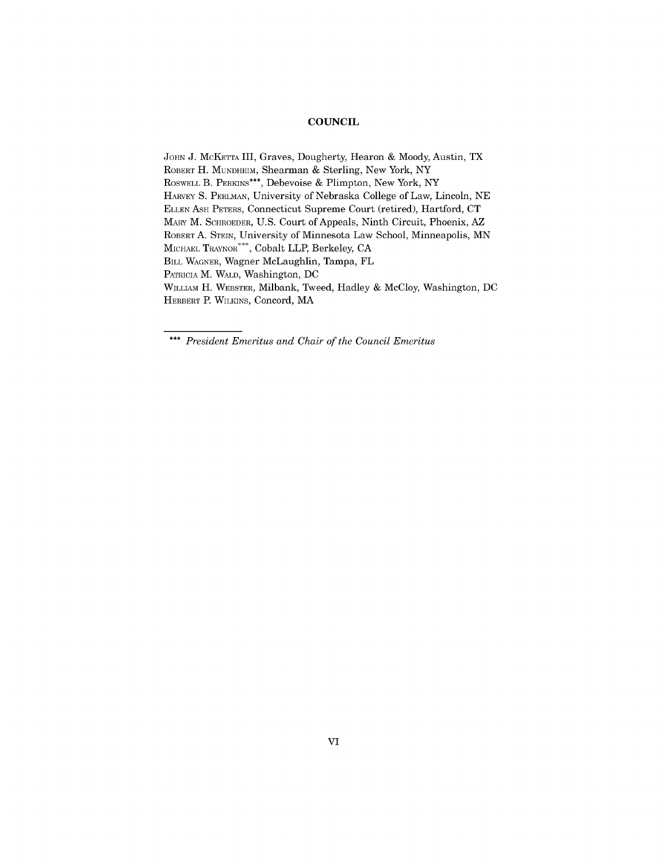#### **COUNCIL**

**JOHN J.** MCKETTA III, Graves, Dougherty, Hearon **&** Moody, Austin, TX ROBERT H. MUNDHEIM, Shearman **&** Sterling, New York, NY ROSWELL B. PERKINS\*\*\*, Debevoise **&** Plimpton, New York, NY HARVEY **S.** PERLMAN, University of Nebraska College of Law, Lincoln, **NE ELLEN ASH** PETERS, Connecticut Supreme Court (retired), Hartford, **CT** MARY M. SCHROEDER, **U.S.** Court of Appeals, Ninth Circuit, Phoenix, AZ ROBERT **A.** STEIN, University of Minnesota Law School, Minneapolis, **MN** MICHAEL TRAYNOR<sup>\*\*\*</sup>, Cobalt LLP, Berkeley, CA BILL WAGNER, Wagner McLaughlin, Tampa, FL PATRICIA M. WALD, Washington, **DC** WILLIAM H. WEBSTER, Milbank, Tweed, Hadley **&** McCloy, Washington, **DC** HERBERT P. WILKINS, Concord, MA

*\*\*\* President Emeritus and Chair of the Council Emeritus*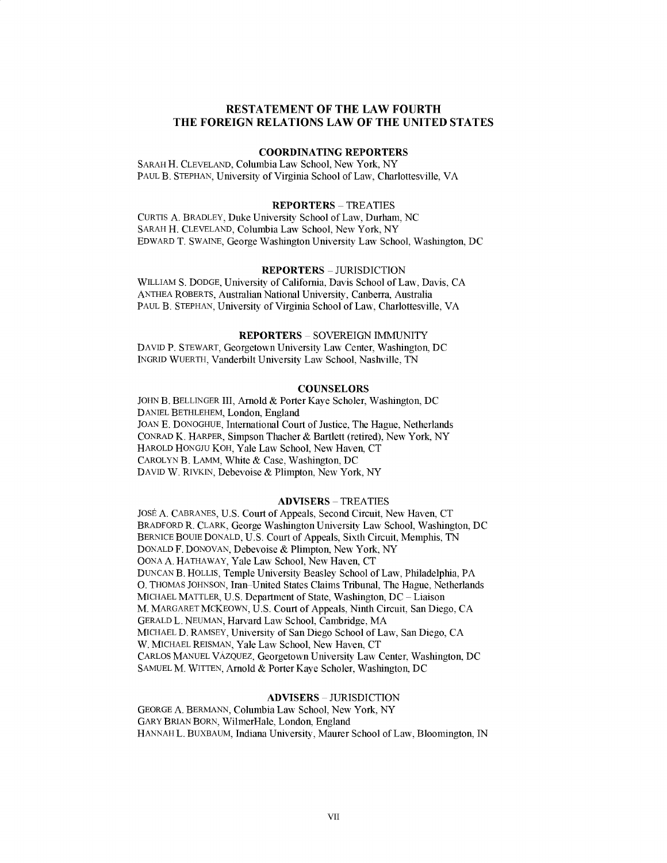## **RESTATEMENT OF THE LAW FOURTH THE FOREIGN RELATIONS LAW OF THE UNITED STATES**

## **COORDINATING REPORTERS**

SARAH H. **CLEVELAND, Columbia Law School, New** York, NY **PAUL** B. **STEPHAN,** University of Virginia School of Law, Charlottesville, VA

#### REPORTERS **-** TREATIES

**CURTIS A.** BRADLEY, Duke University School of Law, Durham, **NC** SARAH H. **CLEVELAND,** Columbia Law School, New York, NY EDWARD T. **SWAINE,** George Washington University Law School, Washington, **DC**

### **REPORTERS - JURISDICTION**

WILLIAM **S. DODGE,** University of California, Davis School of Law, Davis, **CA ANTHEA** ROBERTS, Australian National University, Canberra, Australia **PAUL** B. **STEPHAN,** University of Virginia School of Law, Charlottesville, VA

#### REPORTERS **- SOVEREIGN IMMUNITY**

**DAVID** P. STEWART, Georgetown University Law Center, Washington, **DC** INGRID WUERTH, Vanderbilt University Law School, Nashville, **TN**

#### **COUNSELORS**

**JOHN** B. BELLINGER III, Arnold **&** Porter Kaye Scholer, Washington, **DC DANIEL** BETHLEHEM, London, England **JOAN E. DONOGHUE,** International Court of Justice, The Hague, Netherlands **CONRAD** K. HARPER, Simpson Thacher **&** Bartlett (retired), New York, NY HAROLD **HONGJU** KOH, Yale Law School, New Haven, **CT** CAROLYN B. LAMM, White **&** Case, Washington, **DC DAVID** W. RIVKIN, Debevoise **& Plimpton,** New York, NY

#### ADVISERS **-** TREATIES

JOSE **A. CABRANES, U.S.** Court of Appeals, Second Circuit, New Haven, **CT** BRADFORD R. CLARK, George Washington University Law School, Washington, **DC** BERNICE **BOUIE DONALD, U.S.** Court of Appeals, Sixth Circuit, Memphis, **TN DONALD** F. **DONOVAN,** Debevoise **& Plimpton,** New York, NY **OONA A.** HATHAWAY, Yale Law School, New Haven, **CT DUNCAN** B. **HOLLIS,** Temple University Beasley School of Law, Philadelphia, PA **0. THOMAS JOHNSON,** Iran-United States Claims Tribunal, The Hague, Netherlands **MICHAEL** MATTLER, **U.S.** Department of State, Washington, **DC -** Liaison M. MARGARET MCKEOWN, **U.S.** Court of Appeals, Ninth Circuit, San Diego, **CA** GERALD L. **NEUMAN,** Harvard Law School, Cambridge, MA **MICHAEL D.** RAMSEY, University of San Diego School of Law, San Diego, **CA** W. **MICHAEL REISMAN,** Yale Law School, New Haven, **CT** CARLOS **MANUEL VAZQUEZ,** Georgetown University Law Center, Washington, **DC SAMUEL** M. WITTEN, Arnold **&** Porter Kaye Scholer, Washington, **DC**

### **ADVISERS - JURISDICTION**

**GEORGE A.** BERMANN, Columbia Law School, New York, NY GARY BRIAN BORN, WilmerHale, London, England **HANNAH** L. **BUXBAUM,** Indiana University, Maurer School of Law, Bloomington, **IN**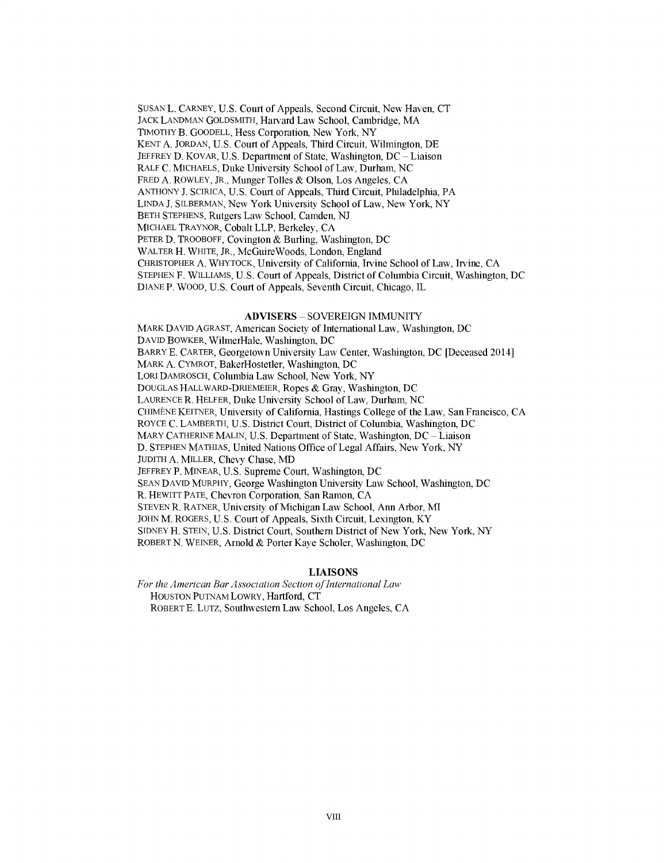**SUSAN** L. CARNEY, **U.S.** Court of Appeals, Second Circuit, New Haven, **CT** JACK **LANDMAN GOLDSMITH,** Harvard Law School, Cambridge, MA TIMOTHY B. **GOODELL,** Hess Corporation, New York, NY **KENT A. JORDAN, U.S.** Court of Appeals, Third Circuit, Wilmington, **DE** JEFFREY **D.** KOVAR, **U.S.** Department of State, Washington, **DC -** Liaison RALF **C. MICHAELS,** Duke University School of Law, Durham, **NC** FRED **A.** ROWLEY, JR., Munger Tolles **&** Olson, Los Angeles, **CA ANTHONY J. SCIRICA, U.S.** Court of Appeals, Third Circuit, Philadelphia, PA **LINDA J.** SILBERMAN, New York University School of Law, New York, NY BETH **STEPHENS,** Rutgers Law School, Camden, **NJ MICHAEL** TRAYNOR, Cobalt LLP, Berkeley, **CA** PETER **D.** TROOBOFF, Covington **&** Burling, Washington, **DC** WALTER H. WHITE, JR., McGuireWoods, London, England CHRISTOPHER **A.** WHYTOCK, University of California, Irvine School of Law, Irvine, **CA STEPHEN** F. WILLIAMS, **U.S.** Court of Appeals, District of Columbia Circuit, Washington, **DC DIANE** P. WOOD, **U.S.** Court of Appeals, Seventh Circuit, Chicago, IL

#### ADVISERS **- SOVEREIGN IMMUNITY**

MARK **DAVID** AGRAST, American Society of International Law, Washington, **DC DAVID** BOWKER, WilmerHale, Washington, **DC** BARRY **E.** CARTER, Georgetown University Law Center, Washington, **DC** [Deceased 2014] MARK **A.** CYMROT, BakerHostetler, Washington, **DC** LORI DAMROSCH, Columbia Law School, New York, NY **DOUGLAS** HALLWARD-DRIEMFIER, Ropes **&** Gray, Washington, **DC LAURENCE** R. HELFER, Duke University School of Law, Durham, **NC CHIMENE** KEITNER, University of California, Hastings College of the Law, San Francisco, **CA** ROYCE **C.** LAMBERTH, **U.S.** District Court, District of Columbia, Washington, **DC** MARY **CATHERINE MALIN, U.S.** Department of State, Washington, **DC -** Liaison **D. STEPHEN MATHIAS,** United Nations Office of Legal Affairs, New York, NY **JUDITH A.** MILLER, Chevy Chase, **MD** JEFFREY P. MINEAR, **U.S.** Supreme Court, Washington, **DC SEAN DAVID** MURPHY, George Washington University Law School, Washington, **DC** R. HEWITT **PATE,** Chevron Corporation, San Ramon, **CA STEVEN** R. RATNER, University of Michigan Law School, Ann Arbor, MI **JOHN** M. ROGERS, **U.S.** Court of Appeals, Sixth Circuit, Lexington, KY **SIDNEY** H. **STEIN, U.S.** District Court, Southern District of New York, New York, NY ROBERT **N.** WEINER, Arnold **&** Porter Kaye Scholer, Washington, **DC**

#### **LIAISONS**

For the American Bar Association Section of International Law **HOUSTON** PUTNAM LOWRY, Hartford, **CT** ROBERT **E.** LUTZ, Southwestern Law School, Los Angeles, **CA**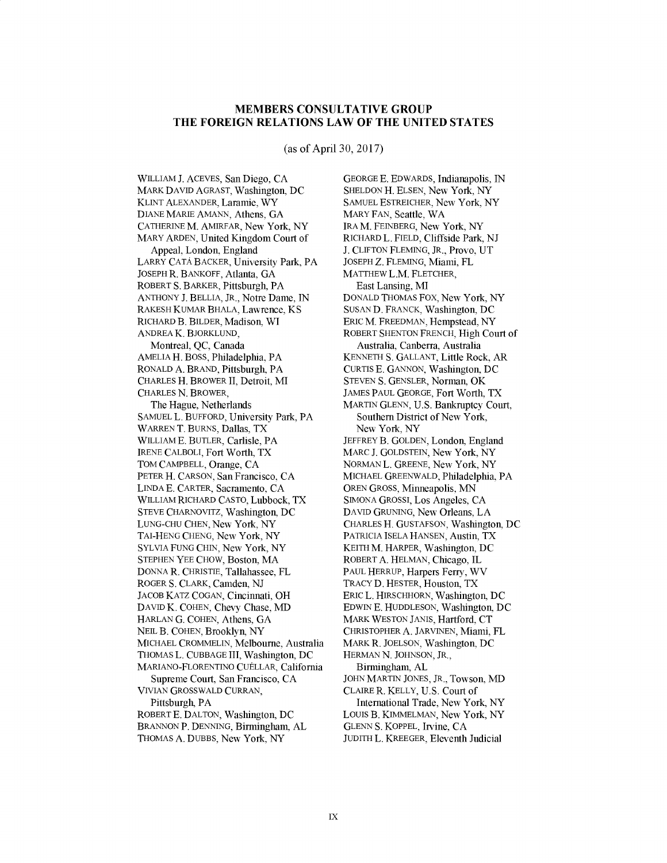# **MEMBERS CONSULTATIVE GROUP THE FOREIGN RELATIONS LAW OF THE UNITED STATES**

(as of April **30, 2017)**

WILLIAM **J. ACEVES,** San Diego, **CA** MARK **DAVID** AGRAST, Washington, **DC** KLINT ALEXANDER, Laramie, WY **DIANE** MARIE **AMANN,** Athens, **GA CATHERINE** M. AMIRFAR, New York, NY MARY **ARDEN,** United Kingdom Court of Appeal, London, England LARRY **CATA** BACKER, University Park, PA **JOSEPH** R. BANKOFF, Atlanta, **GA** ROBERT **S.** BARKER, Pittsburgh, PA **ANTHONY J.** BELLIA, JR., Notre Dame, **IN** RAKESH KUMAR BHALA, Lawrence, KS RICHARD B. BILDER, Madison, WI **ANDREA** K. **BJORKLUND,** Montreal, **QC,** Canada AMELIA H. **BOSS,** Philadelphia, PA RONALD **A. BRAND,** Pittsburgh, PA CHARLES H. BROWER **II,** Detroit, MI CHARLES **N.** BROWER, The Hague, Netherlands **SAMUEL** L. BUFFORD, University Park, PA WARREN T. **BURNS,** Dallas, TX WILLIAM **E.** BUTLER, Carlisle, PA **IRENE** CALBOLI, Fort Worth, TX TOM CAMPBELL, Orange, **CA** PETER H. **CARSON,** San Francisco, **CA LINDA E.** CARTER, Sacramento, **CA** WILLIAM RICHARD **CASTO,** Lubbock, TX **STEVE CHARNOVITZ,** Washington, **DC LUNG-CHU CHEN,** New York, NY **TAI-HENG CHENG,** New York, NY SYLVIA **FUNG CHIN,** New York, NY **STEPHEN** YEE CHOW, Boston, MA **DONNA** R. CHRISTIE, Tallahassee, FL ROGER **S.** CLARK, Camden, **NJ JACOB** KATZ **COGAN,** Cincinnati, OH **DAVID** K. **COHEN,** Chevy Chase, MD HARLAN **G. COHEN,** Athens, **GA NEIL** B. **COHEN,** Brooklyn, NY **MICHAEL CROMMELIN,** Melbourne, Australia **THOMAS** L. **CUBBAGE** III, Washington, **DC** MARIANO-FLORENTINO CUELLAR, California Supreme Court, San Francisco, **CA VIVIAN** GROSSWALD CURRAN, Pittsburgh, PA ROBERT **E. DALTON,** Washington, **DC BRANNON** P. **DENNING,** Birmingham, **AL THOMAS A. DUBBS,** New York, NY

**GEORGE E.** EDWARDS, Indianapolis, **IN SHELDON** H. **ELSEN,** New York, NY **SAMUEL** ESTREICHER, New York, NY MARY **FAN,** Seattle, WA IRA M. FEINBERG, New York, NY RICHARD L. **FIELD,** Cliffside Park, **NJ J. CLIFTON FLEMING,** JR., Provo, **UT JOSEPH** Z. **FLEMING,** Miami, FL MATTHEW L.M. FLETCHER, East Lansing, MI **DONALD** THOMAS Fox, New York, NY **SUSAND.** FRANCK, Washington, **DC** ERIC M. FREEDMAN, Hempstead, **NY** ROBERT **SHENTON** FRENCH, High Court of Australia, Canberra, Australia **KENNETH S. GALLANT,** Little Rock, AR **CURTIS E. GANNON,** Washington, **DC STEVEN S. GENSLER,** Norman, OK **JAMES PAUL GEORGE,** Fort Worth, TX MARTIN **GLENN, U.S.** Bankruptcy Court, Southern District of New York, New York, NY JEFFREY B. **GOLDEN,** London, England MARC **J. GOLDSTEIN,** New York, NY **NORMAN** L. **GREENE,** New York, NY **MICHAEL** GREENWALD, Philadelphia, PA OREN **GROSS,** Minneapolis, **MN SIMONA** GROSSI, Los Angeles, **CA DAVID GRUNING,** New Orleans, **LA** CHARLES H. **GUSTAFSON,** Washington, **DC** PATRICIA **ISELA HANSEN,** Austin, TX **KEITH** M. HARPER, Washington, **DC** ROBERT **A. HELMAN,** Chicago, IL **PAUL** HERRUP, Harpers Ferry, WV TRACY **D.** HESTER, Houston, TX ERIC L. HIRSCHHORN, Washington, **DC EDWIN E. HUDDLESON,** Washington, **DC** MARK **WESTON** JANIS, Hartford, **CT** CHRISTOPHER **A. JARVINEN,** Miami, FL MARK R. **JOELSON,** Washington, **DC HERMAN N. JOHNSON,** JR., Birmingham, **AL JOHN** MARTIN **JONES,** JR., Towson, MD CLAIRE R. KELLY, **U.S.** Court of International Trade, New York, NY LOUIS B. KIMMELMAN, New York, NY **GLENN S.** KOPPEL, Irvine, **CA JUDITH** L. KREEGER, Eleventh Judicial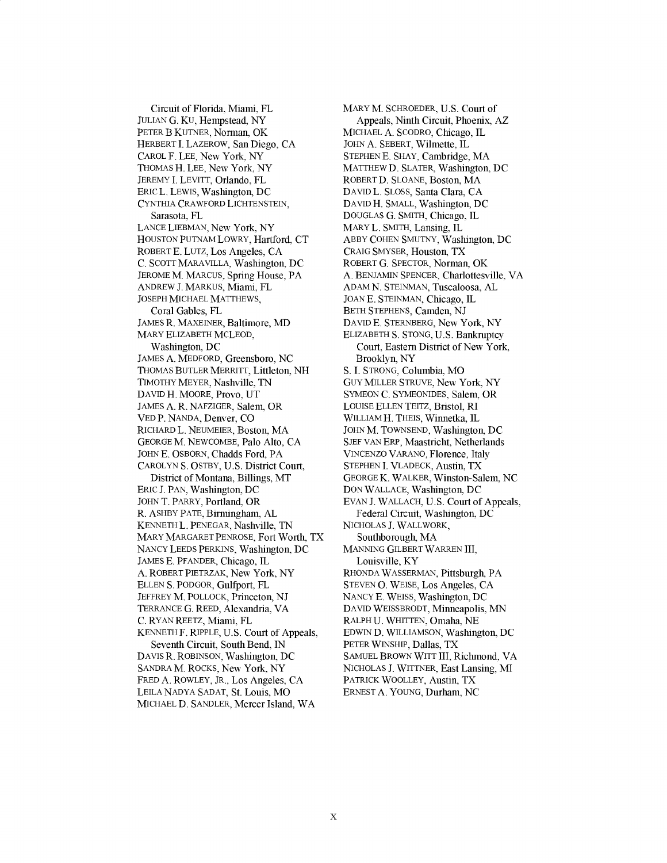Circuit of Florida, Miami, FL **JULIAN G.** KU, Hempstead, NY PETER B **KUTNER,** Norman, OK HERBERT **I.** LAZEROW, San Diego, **CA** CAROL F. **LEE,** New York, NY **THOMAS** H. **LEE,** New York, NY JEREMY **I.** LEVITT, Orlando, FL ERIC L. LEWIS, Washington, **DC CYNTHIA** CRAWFORD **LICHTENSTEIN,** Sarasota, FL **LANCE LIEBMAN,** New York, NY **HOUSTON PUTNAM** LOWRY, Hartford, **CT** ROBERT **E. LUTZ,** Los Angeles, **CA C. SCOTT** MARAVILLA, Washington, **DC** JEROME M. **MARCUS,** Spring House, PA **ANDREW J.** MARKUS, Miami, FL **JOSEPH MICHAEL** MATTHEWS, Coral Gables, FL **JAMES** R. MAXEINER, Baltimore, **MD** MARY ELIZABETH **MCLEOD,** Washington, **DC JAMES A.** MEDFORD, Greensboro, **NC THOMAS** BUTLER MERRITT, Littleton, **NH** TIMOTHY MEYER, Nashville, **TN DAVID** H. MOORE, Provo, **UT JAMES A.** R. NAFZIGER, Salem, OR **VED** P. **NANDA,** Denver, **CO** RICHARD L. **NEUMEIER,** Boston, MA **GEORGE** M. **NEWCOMBE,** Palo Alto, **CA** JOHN E. OSBORN, Chadds Ford, PA CAROLYN **S.** OSTBY, **U.S.** District Court, District of Montana, Billings, MT ERIC **J. PAN,** Washington, **DC JOHN** T. PARRY, Portland, OR R. ASHBY PATE, Birmingham, **AL KENNETH** L. **PENEGAR,** Nashville, **TN** MARY MARGARET **PENROSE,** Fort Worth, TX **NANCY LEEDS** PERKINS, Washington, **DC JAMES E.** PFANDER, Chicago, IL **A.** ROBERT PIETRZAK, New York, NY **ELLEN S.** PODGOR, Gulfport, FL JEFFREY M. POLLOCK, Princeton, **NJ TERRANCE G.** REED, Alexandria, VA **C.** RYAN REETZ, Miami, FL **KENNETH** F. RIPPLE, **U.S.** Court of Appeals, Seventh Circuit, South Bend, **IN DAVIS** R. **ROBINSON,** Washington, **DC SANDRA** M. ROCKS, New York, NY FRED **A.** ROWLEY, JR., Los Angeles, **CA**

**LEILA NADYA SADAT,** St. Louis, MO **MICHAEL D. SANDLER,** Mercer Island, WA MARY M. SCHROEDER, **U.S.** Court of Appeals, Ninth Circuit, Phoenix, AZ **MICHAEL A.** SCODRO, Chicago, IL **JOHN A.** SEBERT, Wilmette, IL **STEPHEN E.** SHAY, Cambridge, MA MATTHEW **D.** SLATER, Washington, **DC** ROBERT **D. SLOANE,** Boston, MA **DAVID** L. **SLOSS,** Santa Clara, **CA DAVID** H. **SMALL,** Washington, **DC DOUGLAS G. SMITH,** Chicago, IL MARY L. **SMITH,** Lansing, IL ABBY **COHEN SMUTNY,** Washington, **DC** CRAIG SMYSER, Houston, TX ROBERT **G.** SPECTOR, Norman, OK **A. BENJAMIN SPENCER,** Charlottesville, VA **ADAM N. STEINMAN,** Tuscaloosa, **AL JOAN E. STEINMAN,** Chicago, IL BETH **STEPHENS,** Camden, **NJ DAVID E.** STERNBERG, New York, NY **ELIZABETH S. STONG, U.S.** Bankruptcy Court, Eastern District of New York, Brooklyn, NY **S. I. STRONG,** Columbia, MO GUY MILLER STRUVE, New York, NY **SYMEON C. SYMEONIDES,** Salem, OR **LOUISE ELLEN** TEITZ, Bristol, RI WILLIAM H. **THEIS,** Winnetka, IL **JOHN** M. TOWNSEND, Washington, **DC SJEF VAN ERP, Maastricht, Netherlands VINCENZO** VARANO, Florence, Italy **STEPHEN I.** VLADECK, Austin, TX **GEORGE** K. WALKER, Winston-Salem, **NC DON WALLACE,** Washington, **DC EVAN J.** WALLACH, **U.S.** Court of Appeals, Federal Circuit, Washington, **DC NICHOLAS J.** WALLWORK, Southborough, MA **MANNING** GILBERT WARREN III, Louisville, KY RHONDA **WASSERMAN,** Pittsburgh, PA **STEVEN 0. WEISE,** Los Angeles, **CA NANCY E. WEISS,** Washington, **DC DAVID** WEISSBRODT, Minneapolis, **MN** RALPH **U.** WHITTEN, Omaha, **NE EDWIN D. WILLIAMSON,** Washington, **DC** PETER WINSHIP, Dallas, TX **SAMUEL** BROWN WITT III, Richmond, VA **NICHOLAS J.** WITTNER, East Lansing, MI PATRICK WOOLLEY, Austin, TX ERNEST **A. YOUNG,** Durham, **NC**